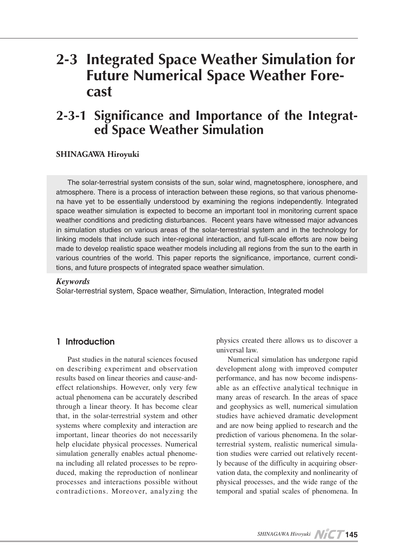## **for Simulation for Simulation for Simulation for Future Numerical Space Weather Fore-**<br>cast

# **Significance and Importance of the Integrat-**<br> **ed Space Weather Simulation**

### **Hiroyuki SHINAGAWA**

The solar-terrestrial system consists of the sun, solar wind, magnetosphere, ionosphere, and na have yet to be essentially understood by examining the regions independently. Integrated atmosphere. There is a process of interaction between these regions, so that various phenomespace weather simulation is expected to become an important tool in monitoring current space weather conditions and predicting disturbances. Recent years have witnessed major advances in simulation studies on various areas of the solar-terrestrial system and in the technology for linking models that include such inter-regional interaction, and full-scale efforts are now being made to develop realistic space weather models including all regions from the sun to the earth in various countries of the world. This paper reports the significance, importance, current condi-<br>tions, and future prospects of integrated space weather simulation.

#### *Keywords*

Solar-terrestrial system, Space weather, Simulation, Interaction, Integrated model

### Introduction 1

Past studies in the natural sciences focused on describing experiment and observation results based on linear theories and cause-and-<br>effect relationships. However, only very few actual phenomena can be accurately described through a linear theory. It has become clear that, in the solar-terrestrial system and other systems where complexity and interaction are important, linear theories do not necessarily help elucidate physical processes. Numerical na including all related processes to be reproduced, making the reproduction of nonlinear simulation generally enables actual phenome-<br>na including all related processes to be reproprocesses and interactions possible without contradictions. Moreover, analyzing the physics created there allows us to discover a universal law.

Numerical simulation has undergone rapid development along with improved computer able as an effective analytical technique in performance, and has now become indispensmany areas of research. In the areas of space and geophysics as well, numerical simulation studies have achieved dramatic development and are now being applied to research and the ly because of the difficulty in acquiring observation data, the complexity and nonlinearity of tion studies were carried out relatively recent-<br>ly because of the difficulty in acquiring obserterrestrial system, realistic numerical simulation studies were carried out relatively recentprediction of various phenomena. In the solar-<br>terrestrial-system, realistic numerical simulaphysical processes, and the wide range of the temporal and spatial scales of phenomena. In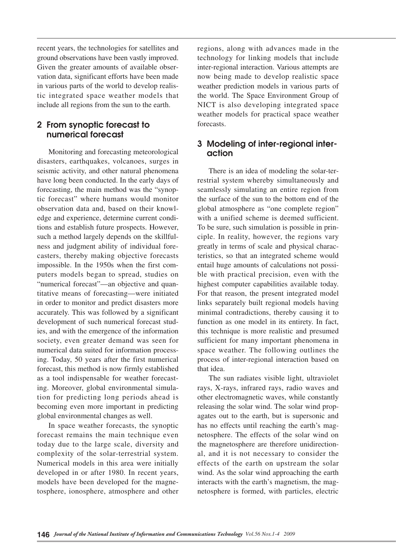recent years, the technologies for satellites and ground observations have been vastly improved. vation data, significant efforts have been made Given the greater amounts of available obsertic integrated space weather models that in various parts of the world to develop realisinclude all regions from the sun to the earth.

### 2 From synoptic forecast to numerical forecast

Monitoring and forecasting meteorological disasters, earthquakes, volcanoes, surges in seismic activity, and other natural phenomena have long been conducted. In the early days of forecasting, the main method was the "synop-<br>tic-forecast" where humans would monitor tions and establish future prospects. However, edge and experience, determine current condiobservation data and, based on their knowlcasters, thereby making objective forecasts ness and judgment ability of individual foresuch a method largely depends on the skillfulputers models began to spread, studies on impossible. In the 1950s when the first com-"numerical forecast"—an objective and quantitative means of forecasting—were initiated in order to monitor and predict disasters more accurately. This was followed by a significant development of such numerical forecast stud-<br>ies, and with the emergence of the information society, even greater demand was seen for ing. Today, 50 years after the first numerical numerical data suited for information processforecast, this method is now firmly established tion for predicting long periods ahead is ing. Moreover, global environmental simulaas a tool indispensable for weather forecastbecoming even more important in predicting global environmental changes as well.

In space weather forecasts, the synoptic forecast remains the main technique even today due to the large scale, diversity and complexity of the solar-terrestrial system. Numerical models in this area were initially developed in or after 1980. In recent years, tosphere, ionosphere, atmosphere and other models have been developed for the magneregions, along with advances made in the technology for linking models that include inter-regional interaction. Various attempts are now being made to develop realistic space weather prediction models in various parts of the world. The Space Environment Group of NICT is also developing integrated space weather models for practical space weather .forecasts

### 3 Modeling of inter-regional inter-<br>action

restrial system whereby simultaneously and There is an idea of modeling the solar-terseamlessly simulating an entire region from the surface of the sun to the bottom end of the global atmosphere as "one complete region" with a unified scheme is deemed sufficient. To be sure, such simulation is possible in principle. In reality, however, the regions vary teristics, so that an integrated scheme would greatly in terms of scale and physical characble with practical precision, even with the entail huge amounts of calculations not possihighest computer capabilities available today. For that reason, the present integrated model links separately built regional models having minimal contradictions, thereby causing it to function as one model in its entirety. In fact, this technique is more realistic and presumed sufficient for many important phenomena in space weather. The following outlines the process of inter-regional interaction based on that idea.

The sun radiates visible light, ultraviolet rays, X-rays, infrared rays, radio waves and other electromagnetic waves, while constantly agates out to the earth, but is supersonic and releasing the solar wind. The solar wind prophas no effects until reaching the earth's magnetosphere. The effects of the solar wind on al, and it is not necessary to consider the the magnetosphere are therefore unidirectioneffects of the earth on upstream the solar wind. As the solar wind approaching the earth netosphere is formed, with particles, electric interacts with the earth's magnetism, the mag-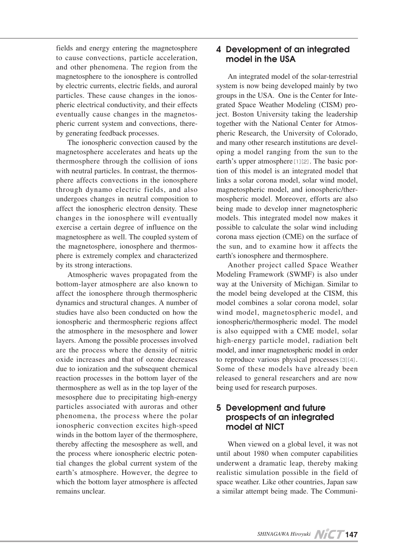to cause convections, particle acceleration, and other phenomena. The region from the magnetosphere to the ionosphere is controlled by electric currents, electric fields, and auroral pheric electrical conductivity, and their effects particles. These cause changes in the ionospheric current system and convections, there-<br>by generating feedback processes. eventually cause changes in the magnetos-<br>pheric-current system and convections, thereeventually cause changes in the magnetos-

The ionospheric convection caused by the magnetosphere accelerates and heats up the thermosphere through the collision of ions phere affects convections in the ionospherewith neutral particles. In contrast, the thermosthrough dynamo electric fields, and also undergoes changes in neutral composition to affect the ionospheric electron density. These changes in the ionosphere will eventually exercise a certain degree of influence on the magnetosphere as well. The coupled system of phere is extremely complex and characterized the magnetosphere, ionosphere and thermosby its strong interactions.

Fields and energy entering the magnetosphere and Development of Continented Enter and the entergy and the entergy and the entergy and the entergy and the entergy and the entergy and the entergy and the entergy and the ente Atmospheric waves propagated from the bottom-layer atmosphere are also known to affect the ionosphere through thermospheric dynamics and structural changes. A number of studies have also been conducted on how the ionospheric and thermospheric regions affect the atmosphere in the mesosphere and lower layers. Among the possible processes involved are the process where the density of nitric oxide increases and that of ozone decreases due to ionization and the subsequent chemical reaction processes in the bottom layer of the thermosphere as well as in the top layer of the mesosphere due to precipitating high-energy particles associated with auroras and other phenomena, the process where the polar ionospheric convection excites high-speed winds in the bottom layer of the thermosphere, thereby affecting the mesosphere as well, and tial changes the global current system of the the process where ionospheric electric potenearth's atmosphere. However, the degree to which the bottom layer atmosphere is affected remains unclear.

### 4 Development of an integrated model in the USA

An integrated model of the solar-terrestrial system is now being developed mainly by two ject. Boston University taking the leadership grated Space Weather Modeling (CISM) progroups in the USA. One is the Center for Intepheric Research, the University of Colorado, together with the National Center for Atmosoping a model ranging from the sun to the and many other research institutions are develtion of this model is an integrated model that earth's upper atmosphere [1][2]. The basic porlinks a solar corona model, solar wind model. mospheric model. Moreover, efforts are also magnetospheric model, and ionospheric/therbeing made to develop inner magnetospheric models. This integrated model now makes it possible to calculate the solar wind including corona mass ejection (CME) on the surface of the sun, and to examine how it affects the earth's ionosphere and thermosphere.

Another project called Space Weather Modeling Framework (SWMF) is also under way at the University of Michigan. Similar to the model being developed at the CISM, this model combines a solar corona model, solar wind model, magnetospheric model, and ionospheric/thermospheric model. The model is also equipped with a CME model, solar high-energy particle model, radiation belt model, and inner magnetospheric model in order to reproduce various physical processes [3][4]. Some of these models have already been released to general researchers and are now being used for research purposes.

### 5 Development and future prospects of an integrated model at NICT

When viewed on a global level, it was not until about 1980 when computer capabilities underwent a dramatic leap, thereby making realistic simulation possible in the field of space weather. Like other countries, Japan saw a similar attempt being made. The Communi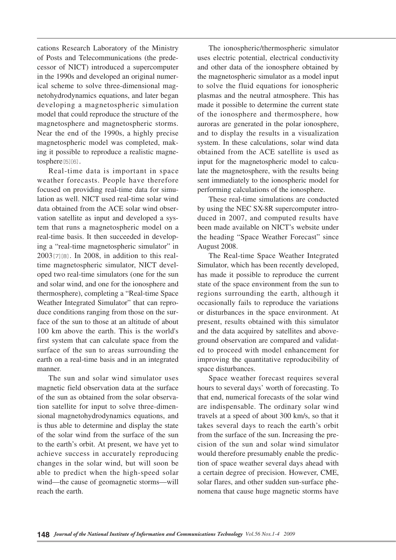cations Research Laboratory of the Ministry of Posts and Telecommunications (the predecessor of NICT) introduced a supercomputer ical scheme to solve three-dimensional magnetohydrodynamics equations, and later began in the 1990s and developed an original numerical scheme to solve three-dimensional magdeveloping a magnetospheric simulation model that could reproduce the structure of the magnetosphere and magnetospheric storms. Near the end of the 1990s, a highly precise ing it possible to reproduce a realistic magne-<br>tosphere<sup>[5][6]</sup>. magnetospheric model was completed, making it possible to reproduce a realistic magnemagnetospheric model was completed, mak-

Real-time data is important in space weather forecasts. People have therefore focused on providing real-time data for simulation as well. NICT used real-time solar wind tem that runs a magnetospheric model on a vation satellite as input and developed a sysdata obtained from the ACE solar wind obserreal-time basis. It then succeeded in develop-<br>ing a "real-time magnetospheric simulator" in oped two real-time simulators (one for the sun time magnetospheric simulator, NICT devel- $2003$ [7][8]. In 2008, in addition to this realand solar wind, and one for the ionosphere and thermosphere), completing a "Real-time Space duce conditions ranging from those on the surface of the sun to those at an altitude of about Weather Integrated Simulator" that can reproduce conditions ranging from those on the sur-Weather Integrated Simulator" that can repro-100 km above the earth. This is the world's first system that can calculate space from the surface of the sun to areas surrounding the earth on a real-time basis and in an integrated .manner

The sun and solar wind simulator uses magnetic field observation data at the surface sional magnetohydrodynamics equations, and tion satellite for input to solve three-dimenof the sun as obtained from the solar observais thus able to determine and display the state of the solar wind from the surface of the sun to the earth's orbit. At present, we have yet to achieve success in accurately reproducing changes in the solar wind, but will soon be able to predict when the high-speed solar wind—the cause of geomagnetic storms—will reach the earth.

The ionospheric/thermospheric simulator uses electric potential, electrical conductivity and other data of the ionosphere obtained by the magnetospheric simulator as a model input to solve the fluid equations for ionospheric plasmas and the neutral atmosphere. This has made it possible to determine the current state of the ionosphere and thermosphere, how auroras are generated in the polar ionosphere, and to display the results in a visualization system. In these calculations, solar wind data obtained from the ACE satellite is used as late the magnetosphere, with the results being input for the magnetospheric model to calcusent immediately to the ionospheric model for performing calculations of the ionosphere.

These real-time simulations are conducted by using the NEC SX-8R supercomputer introduced in 2007, and computed results have been made available on NICT's website under the heading "Space Weather Forecast" since 2008. August

The Real-time Space Weather Integrated Simulator, which has been recently developed, has made it possible to reproduce the current state of the space environment from the sun to regions surrounding the earth, although it occasionally fails to reproduce the variations or disturbances in the space environment. At present, results obtained with this simulator ed to proceed with model enhancement for ground observation are compared and validatand the data acquired by satellites and aboveimproving the quantitative reproducibility of space disturbances.

Space weather forecast requires several hours to several days' worth of forecasting. To that end, numerical forecasts of the solar wind are indispensable. The ordinary solar wind travels at a speed of about 300 km/s, so that it takes several days to reach the earth's orbit from the surface of the sun. Increasing the precision of the sun and solar wind simulator tion of space weather several days ahead with would therefore presumably enable the predica certain degree of precision. However, CME, nomena that cause huge magnetic storms have solar flares, and other sudden sun-surface phe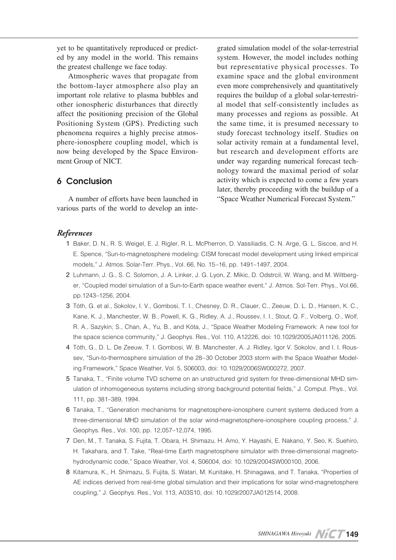ed by any model in the world. This remains yet to be quantitatively reproduced or predictthe greatest challenge we face today.

Atmospheric waves that propagate from the bottom-layer atmosphere also play an important role relative to plasma bubbles and other ionospheric disturbances that directly affect the positioning precision of the Global Positioning System (GPS). Predicting such phenomena requires a highly precise atmos-<br>phere-ionosphere coupling model, which is now being developed by the Space Environ-<br>ment Group of NICT.

### **6 Conclusion**

A number of efforts have been launched in various parts of the world to develop an inte-

Fraction model of the solar-terrestrial<br>system. However, the model includes nothing<br>but representative physical processes. To<br>examine space and the global environment<br>even more comprehensively and quantitatively<br>requires t system. However, the model includes nothing but representative physical processes. To examine space and the global environment even more comprehensively and quantitatively al model that self-consistently includes as requires the buildup of a global solar-terrestrimany processes and regions as possible. At the same time, it is presumed necessary to study forecast technology itself. Studies on solar activity remain at a fundamental level, but research and development efforts are nology toward the maximal period of solar under way regarding numerical forecast techactivity which is expected to come a few years later, thereby proceeding with the buildup of a "Space Weather Numerical Forecast System."

### *References*

- 1 Baker, D. N., R. S. Weigel, E. J. Rigler, R. L. McPherron, D. Vassiliadis, C. N. Arge, G. L. Siscoe, and H. E. Spence, "Sun-to-magnetosphere modeling: CISM forecast model development using linked empirical models," J. Atmos. Solar-Terr. Phys., Vol. 66, No. 15-16, pp. 1491-1497, 2004.
- er, "Coupled model simulation of a Sun-to-Earth space weather event," J. Atmos. Sol-Terr. Phys., Vol.66, 2 Luhmann, J. G., S. C. Solomon, J. A. Linker, J. G. Lyon, Z. Mikic, D. Odstrcil, W. Wang, and M. Wiltbergpp.1243-1256, 2004.
- 3 Tóth, G. et al., Sokolov, I. V., Gombosi, T. I., Chesney, D. R., Clauer, C., Zeeuw, D. L. D., Hansen, K. C., Kane, K. J., Manchester, W. B., Powell, K. G., Ridley, A. J., Roussev, I. I., Stout, Q. F., Volberg, O., Wolf, R. A., Sazykin, S., Chan, A., Yu, B., and Kóta, J., "Space Weather Modeling Framework: A new tool for the space science community," J. Geophys. Res., Vol. 110, A12226, doi: 10.1029/2005JA011126, 2005.
- sev, "Sun-to-thermosphere simulation of the 28–30 October 2003 storm with the Space Weather Model-<br>ing Framework," Space Weather, Vol. 5, S06003, doi: 10.1029/2006SW000272, 2007. Tóth, G., D. L. De Zeeuw, T. I. Gombosi, W. B. Manchester, A. J. Ridley, Igor V. Sokolov, and I. I. Rous-<br>sev, "Sun-to-thermosphere simulation of the 28–30 October 2003 storm with the Space Weather Model-4 Tóth, G., D. L. De Zeeuw, T. I. Gombosi, W. B. Manchester, A. J. Ridley, Igor V. Sokolov, and I. I. Rous-
- ulation of inhomogeneous systems including strong background potential fields," J. Comput. Phys., Vol. 5 Tanaka, T., "Finite volume TVD scheme on an unstructured grid system for three-dimensional MHD sim-111, pp. 381-389, 1994.
- 6 Tanaka, T., "Generation mechanisms for magnetosphere-ionosphere current systems deduced from a three-dimensional MHD simulation of the solar wind-magnetosphere-ionosphere coupling process," J. Geophys. Res., Vol. 100, pp. 12,057-12,074, 1995.
- 7, Den, M., T. Tanaka, S. Fuijta, T. Obara, H. Shimazu, H. Amo, Y. Havashi, E. Nakano, Y. Seo, K. Suehiro. hydrodynamic code," Space Weather, Vol. 4, S06004, doi: 10.1029/2004 SW000100, 2006. H. Takahara, and T. Take, "Real-time Earth magnetosphere simulator with three-dimensional magneto-
- 8 Kitamura, K., H. Shimazu, S. Fujita, S. Watari, M. Kunitake, H. Shinagawa, and T. Tanaka, "Properties of AE indices derived from real-time global simulation and their implications for solar wind-magnetosphere coupling." J. Geophys. Res., Vol. 113, A03S10, doi: 10,1029/2007 JA012514, 2008.